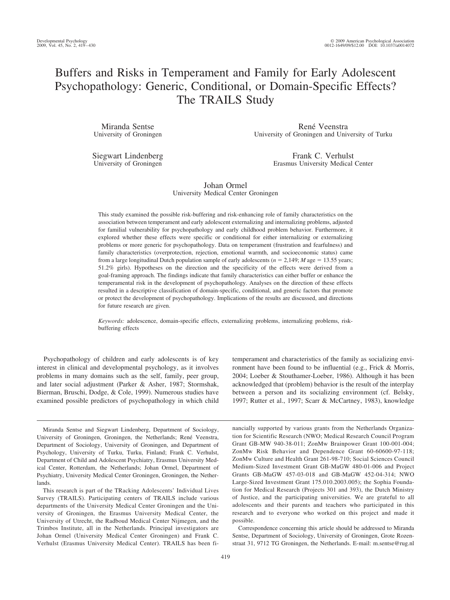# Buffers and Risks in Temperament and Family for Early Adolescent Psychopathology: Generic, Conditional, or Domain-Specific Effects? The TRAILS Study

Miranda Sentse University of Groningen

René Veenstra University of Groningen and University of Turku

Siegwart Lindenberg University of Groningen

Frank C. Verhulst Erasmus University Medical Center

Johan Ormel University Medical Center Groningen

This study examined the possible risk-buffering and risk-enhancing role of family characteristics on the association between temperament and early adolescent externalizing and internalizing problems, adjusted for familial vulnerability for psychopathology and early childhood problem behavior. Furthermore, it explored whether these effects were specific or conditional for either internalizing or externalizing problems or more generic for psychopathology. Data on temperament (frustration and fearfulness) and family characteristics (overprotection, rejection, emotional warmth, and socioeconomic status) came from a large longitudinal Dutch population sample of early adolescents ( $n = 2.149$ ; *M* age = 13.55 years; 51.2% girls). Hypotheses on the direction and the specificity of the effects were derived from a goal-framing approach. The findings indicate that family characteristics can either buffer or enhance the temperamental risk in the development of psychopathology. Analyses on the direction of these effects resulted in a descriptive classification of domain-specific, conditional, and generic factors that promote or protect the development of psychopathology. Implications of the results are discussed, and directions for future research are given.

*Keywords:* adolescence, domain-specific effects, externalizing problems, internalizing problems, riskbuffering effects

Psychopathology of children and early adolescents is of key interest in clinical and developmental psychology, as it involves problems in many domains such as the self, family, peer group, and later social adjustment (Parker & Asher, 1987; Stormshak, Bierman, Bruschi, Dodge, & Cole, 1999). Numerous studies have examined possible predictors of psychopathology in which child

Miranda Sentse and Siegwart Lindenberg, Department of Sociology, University of Groningen, Groningen, the Netherlands; René Veenstra, Department of Sociology, University of Groningen, and Department of Psychology, University of Turku, Turku, Finland; Frank C. Verhulst, Department of Child and Adolescent Psychiatry, Erasmus University Medical Center, Rotterdam, the Netherlands; Johan Ormel, Department of Psychiatry, University Medical Center Groningen, Groningen, the Netherlands.

This research is part of the TRacking Adolescents' Individual Lives Survey (TRAILS). Participating centers of TRAILS include various departments of the University Medical Center Groningen and the University of Groningen, the Erasmus University Medical Center, the University of Utrecht, the Radboud Medical Center Nijmegen, and the Trimbos Institute, all in the Netherlands. Principal investigators are Johan Ormel (University Medical Center Groningen) and Frank C. Verhulst (Erasmus University Medical Center). TRAILS has been fitemperament and characteristics of the family as socializing environment have been found to be influential (e.g., Frick & Morris, 2004; Loeber & Stouthamer-Loeber, 1986). Although it has been acknowledged that (problem) behavior is the result of the interplay between a person and its socializing environment (cf. Belsky, 1997; Rutter et al., 1997; Scarr & McCartney, 1983), knowledge

nancially supported by various grants from the Netherlands Organization for Scientific Research (NWO; Medical Research Council Program Grant GB-MW 940-38-011; ZonMw Brainpower Grant 100-001-004; ZonMw Risk Behavior and Dependence Grant 60-60600-97-118; ZonMw Culture and Health Grant 261-98-710; Social Sciences Council Medium-Sized Investment Grant GB-MaGW 480-01-006 and Project Grants GB-MaGW 457-03-018 and GB-MaGW 452-04-314; NWO Large-Sized Investment Grant 175.010.2003.005); the Sophia Foundation for Medical Research (Projects 301 and 393), the Dutch Ministry of Justice, and the participating universities. We are grateful to all adolescents and their parents and teachers who participated in this research and to everyone who worked on this project and made it possible.

Correspondence concerning this article should be addressed to Miranda Sentse, Department of Sociology, University of Groningen, Grote Rozenstraat 31, 9712 TG Groningen, the Netherlands. E-mail: m.sentse@rug.nl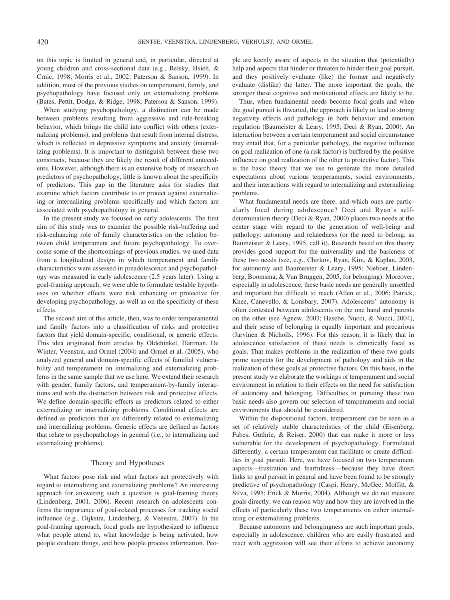on this topic is limited in general and, in particular, directed at young children and cross-sectional data (e.g., Belsky, Hsieh, & Crnic, 1998; Morris et al., 2002; Paterson & Sanson, 1999). In addition, most of the previous studies on temperament, family, and psychopathology have focused only on externalizing problems (Bates, Pettit, Dodge, & Ridge, 1998; Paterson & Sanson, 1999).

When studying psychopathology, a distinction can be made between problems resulting from aggressive and rule-breaking behavior, which brings the child into conflict with others (externalizing problems), and problems that result from internal distress, which is reflected in depressive symptoms and anxiety (internalizing problems). It is important to distinguish between these two constructs, because they are likely the result of different antecedents. However, although there is an extensive body of research on predictors of psychopathology, little is known about the specificity of predictors. This gap in the literature asks for studies that examine which factors contribute to or protect against externalizing or internalizing problems specifically and which factors are associated with psychopathology in general.

In the present study we focused on early adolescents. The first aim of this study was to examine the possible risk-buffering and risk-enhancing role of family characteristics on the relation between child temperament and future psychopathology. To overcome some of the shortcomings of previous studies, we used data from a longitudinal design in which temperament and family characteristics were assessed in preadolescence and psychopathology was measured in early adolescence (2.5 years later). Using a goal-framing approach, we were able to formulate testable hypotheses on whether effects were risk enhancing or protective for developing psychopathology, as well as on the specificity of these effects.

The second aim of this article, then, was to order temperamental and family factors into a classification of risks and protective factors that yield domain-specific, conditional, or generic effects. This idea originated from articles by Oldehinkel, Hartman, De Winter, Veenstra, and Ormel (2004) and Ormel et al. (2005), who analyzed general and domain-specific effects of familial vulnerability and temperament on internalizing and externalizing problems in the same sample that we use here. We extend their research with gender, family factors, and temperament-by-family interactions and with the distinction between risk and protective effects. We define domain-specific effects as predictors related to either externalizing or internalizing problems. Conditional effects are defined as predictors that are differently related to externalizing and internalizing problems. Generic effects are defined as factors that relate to psychopathology in general (i.e., to internalizing and externalizing problems).

## Theory and Hypotheses

What factors pose risk and what factors act protectively with regard to internalizing and externalizing problems? An interesting approach for answering such a question is goal-framing theory (Lindenberg, 2001, 2006). Recent research on adolescents confirms the importance of goal-related processes for tracking social influence (e.g., Dijkstra, Lindenberg, & Veenstra, 2007). In the goal-framing approach, focal goals are hypothesized to influence what people attend to, what knowledge is being activated, how people evaluate things, and how people process information. People are keenly aware of aspects in the situation that (potentially) help and aspects that hinder or threaten to hinder their goal pursuit, and they positively evaluate (like) the former and negatively evaluate (dislike) the latter. The more important the goals, the stronger these cognitive and motivational effects are likely to be.

Thus, when fundamental needs become focal goals and when the goal pursuit is thwarted, the approach is likely to lead to strong negativity effects and pathology in both behavior and emotion regulation (Baumeister & Leary, 1995; Deci & Ryan, 2000). An interaction between a certain temperament and social circumstance may entail that, for a particular pathology, the negative influence on goal realization of one (a risk factor) is buffered by the positive influence on goal realization of the other (a protective factor). This is the basic theory that we use to generate the more detailed expectations about various temperaments, social environments, and their interactions with regard to internalizing and externalizing problems.

What fundamental needs are there, and which ones are particularly focal during adolescence? Deci and Ryan's selfdetermination theory (Deci & Ryan, 2000) places two needs at the center stage with regard to the generation of well-being and pathology: autonomy and relatedness (or the need to belong, as Baumeister & Leary, 1995, call it). Research based on this theory provides good support for the universality and the basicness of these two needs (see, e.g., Chirkov, Ryan, Kim, & Kaplan, 2003, for autonomy and Baumeister & Leary, 1995; Nieboer, Lindenberg, Boomsma, & Van Bruggen, 2005, for belonging). Moreover, especially in adolescence, these basic needs are generally unsettled and important but difficult to reach (Allen et al., 2006; Patrick, Knee, Canevello, & Lonsbary, 2007). Adolescents' autonomy is often contested between adolescents on the one hand and parents on the other (see Agnew, 2003; Hasebe, Nucci, & Nucci, 2004), and their sense of belonging is equally important and precarious (Jarvinen & Nicholls, 1996). For this reason, it is likely that in adolescence satisfaction of these needs is chronically focal as goals. That makes problems in the realization of these two goals prime suspects for the development of pathology and aids in the realization of these goals as protective factors. On this basis, in the present study we elaborate the workings of temperament and social environment in relation to their effects on the need for satisfaction of autonomy and belonging. Difficulties in pursuing these two basic needs also govern our selection of temperaments and social environments that should be considered.

Within the dispositional factors, temperament can be seen as a set of relatively stable characteristics of the child (Eisenberg, Fabes, Guthrie, & Reiser, 2000) that can make it more or less vulnerable for the development of psychopathology. Formulated differently, a certain temperament can facilitate or create difficulties in goal pursuit. Here, we have focused on two temperament aspects—frustration and fearfulness— because they have direct links to goal pursuit in general and have been found to be strongly predictive of psychopathology (Caspi, Henry, McGee, Moffitt, & Silva, 1995; Frick & Morris, 2004). Although we do not measure goals directly, we can reason why and how they are involved in the effects of particularly these two temperaments on either internalizing or externalizing problems.

Because autonomy and belongingness are such important goals, especially in adolescence, children who are easily frustrated and react with aggression will see their efforts to achieve autonomy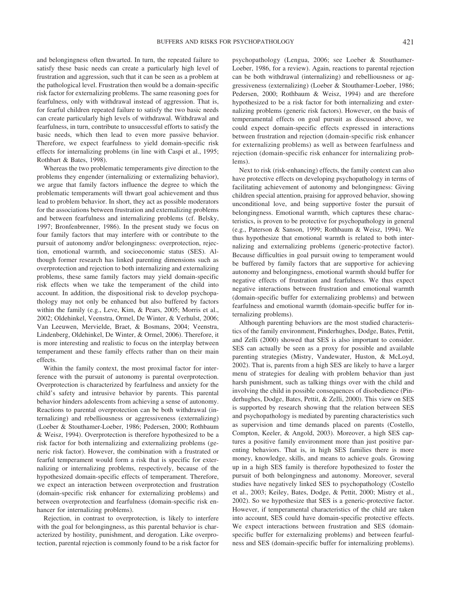and belongingness often thwarted. In turn, the repeated failure to satisfy these basic needs can create a particularly high level of frustration and aggression, such that it can be seen as a problem at the pathological level. Frustration then would be a domain-specific risk factor for externalizing problems. The same reasoning goes for fearfulness, only with withdrawal instead of aggression. That is, for fearful children repeated failure to satisfy the two basic needs can create particularly high levels of withdrawal. Withdrawal and fearfulness, in turn, contribute to unsuccessful efforts to satisfy the basic needs, which then lead to even more passive behavior. Therefore, we expect fearfulness to yield domain-specific risk effects for internalizing problems (in line with Caspi et al., 1995; Rothbart & Bates, 1998).

Whereas the two problematic temperaments give direction to the problems they engender (internalizing or externalizing behavior), we argue that family factors influence the degree to which the problematic temperaments will thwart goal achievement and thus lead to problem behavior. In short, they act as possible moderators for the associations between frustration and externalizing problems and between fearfulness and internalizing problems (cf. Belsky, 1997; Bronfenbrenner, 1986). In the present study we focus on four family factors that may interfere with or contribute to the pursuit of autonomy and/or belongingness: overprotection, rejection, emotional warmth, and socioeconomic status (SES). Although former research has linked parenting dimensions such as overprotection and rejection to both internalizing and externalizing problems, these same family factors may yield domain-specific risk effects when we take the temperament of the child into account. In addition, the dispositional risk to develop psychopathology may not only be enhanced but also buffered by factors within the family (e.g., Leve, Kim, & Pears, 2005; Morris et al., 2002; Oldehinkel, Veenstra, Ormel, De Winter, & Verhulst, 2006; Van Leeuwen, Mervielde, Braet, & Bosmans, 2004; Veenstra, Lindenberg, Oldehinkel, De Winter, & Ormel, 2006). Therefore, it is more interesting and realistic to focus on the interplay between temperament and these family effects rather than on their main effects.

Within the family context, the most proximal factor for interference with the pursuit of autonomy is parental overprotection. Overprotection is characterized by fearfulness and anxiety for the child's safety and intrusive behavior by parents. This parental behavior hinders adolescents from achieving a sense of autonomy. Reactions to parental overprotection can be both withdrawal (internalizing) and rebelliousness or aggressiveness (externalizing) (Loeber & Stouthamer-Loeber, 1986; Pedersen, 2000; Rothbaum & Weisz, 1994). Overprotection is therefore hypothesized to be a risk factor for both internalizing and externalizing problems (generic risk factor). However, the combination with a frustrated or fearful temperament would form a risk that is specific for externalizing or internalizing problems, respectively, because of the hypothesized domain-specific effects of temperament. Therefore, we expect an interaction between overprotection and frustration (domain-specific risk enhancer for externalizing problems) and between overprotection and fearfulness (domain-specific risk enhancer for internalizing problems).

Rejection, in contrast to overprotection, is likely to interfere with the goal for belongingness, as this parental behavior is characterized by hostility, punishment, and derogation. Like overprotection, parental rejection is commonly found to be a risk factor for psychopathology (Lengua, 2006; see Loeber & Stouthamer-Loeber, 1986, for a review). Again, reactions to parental rejection can be both withdrawal (internalizing) and rebelliousness or aggressiveness (externalizing) (Loeber & Stouthamer-Loeber, 1986; Pedersen, 2000; Rothbaum & Weisz, 1994) and are therefore hypothesized to be a risk factor for both internalizing and externalizing problems (generic risk factors). However, on the basis of temperamental effects on goal pursuit as discussed above, we could expect domain-specific effects expressed in interactions between frustration and rejection (domain-specific risk enhancer for externalizing problems) as well as between fearfulness and rejection (domain-specific risk enhancer for internalizing problems).

Next to risk (risk-enhancing) effects, the family context can also have protective effects on developing psychopathology in terms of facilitating achievement of autonomy and belongingness: Giving children special attention, praising for approved behavior, showing unconditional love, and being supportive foster the pursuit of belongingness. Emotional warmth, which captures these characteristics, is proven to be protective for psychopathology in general (e.g., Paterson & Sanson, 1999; Rothbaum & Weisz, 1994). We thus hypothesize that emotional warmth is related to both internalizing and externalizing problems (generic-protective factor). Because difficulties in goal pursuit owing to temperament would be buffered by family factors that are supportive for achieving autonomy and belongingness, emotional warmth should buffer for negative effects of frustration and fearfulness. We thus expect negative interactions between frustration and emotional warmth (domain-specific buffer for externalizing problems) and between fearfulness and emotional warmth (domain-specific buffer for internalizing problems).

Although parenting behaviors are the most studied characteristics of the family environment, Pinderhughes, Dodge, Bates, Pettit, and Zelli (2000) showed that SES is also important to consider. SES can actually be seen as a proxy for possible and available parenting strategies (Mistry, Vandewater, Huston, & McLoyd, 2002). That is, parents from a high SES are likely to have a larger menu of strategies for dealing with problem behavior than just harsh punishment, such as talking things over with the child and involving the child in possible consequences of disobedience (Pinderhughes, Dodge, Bates, Pettit, & Zelli, 2000). This view on SES is supported by research showing that the relation between SES and psychopathology is mediated by parenting characteristics such as supervision and time demands placed on parents (Costello, Compton, Keeler, & Angold, 2003). Moreover, a high SES captures a positive family environment more than just positive parenting behaviors. That is, in high SES families there is more money, knowledge, skills, and means to achieve goals. Growing up in a high SES family is therefore hypothesized to foster the pursuit of both belongingness and autonomy. Moreover, several studies have negatively linked SES to psychopathology (Costello et al., 2003; Keiley, Bates, Dodge, & Pettit, 2000; Mistry et al., 2002). So we hypothesize that SES is a generic-protective factor. However, if temperamental characteristics of the child are taken into account, SES could have domain-specific protective effects. We expect interactions between frustration and SES (domainspecific buffer for externalizing problems) and between fearfulness and SES (domain-specific buffer for internalizing problems).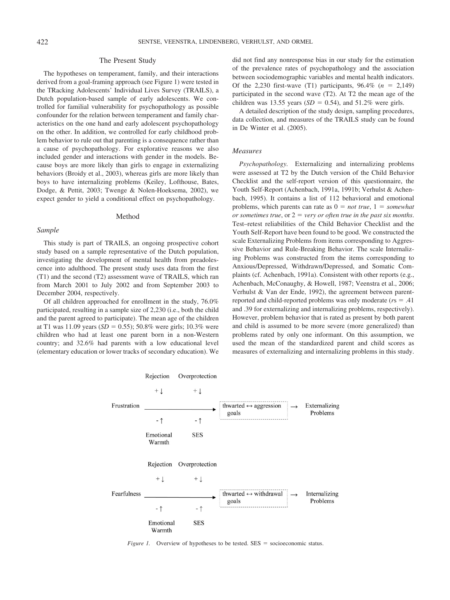## The Present Study

The hypotheses on temperament, family, and their interactions derived from a goal-framing approach (see Figure 1) were tested in the TRacking Adolescents' Individual Lives Survey (TRAILS), a Dutch population-based sample of early adolescents. We controlled for familial vulnerability for psychopathology as possible confounder for the relation between temperament and family characteristics on the one hand and early adolescent psychopathology on the other. In addition, we controlled for early childhood problem behavior to rule out that parenting is a consequence rather than a cause of psychopathology. For explorative reasons we also included gender and interactions with gender in the models. Because boys are more likely than girls to engage in externalizing behaviors (Broidy et al., 2003), whereas girls are more likely than boys to have internalizing problems (Keiley, Lofthouse, Bates, Dodge, & Pettit, 2003; Twenge & Nolen-Hoeksema, 2002), we expect gender to yield a conditional effect on psychopathology.

#### Method

# *Sample*

This study is part of TRAILS, an ongoing prospective cohort study based on a sample representative of the Dutch population, investigating the development of mental health from preadolescence into adulthood. The present study uses data from the first (T1) and the second (T2) assessment wave of TRAILS, which ran from March 2001 to July 2002 and from September 2003 to December 2004, respectively.

Of all children approached for enrollment in the study, 76.0% participated, resulting in a sample size of 2,230 (i.e., both the child and the parent agreed to participate). The mean age of the children at T1 was 11.09 years  $(SD = 0.55)$ ; 50.8% were girls; 10.3% were children who had at least one parent born in a non-Western country; and 32.6% had parents with a low educational level (elementary education or lower tracks of secondary education). We did not find any nonresponse bias in our study for the estimation of the prevalence rates of psychopathology and the association between sociodemographic variables and mental health indicators. Of the 2,230 first-wave (T1) participants,  $96.4\%$  ( $n = 2,149$ ) participated in the second wave (T2). At T2 the mean age of the children was 13.55 years  $(SD = 0.54)$ , and 51.2% were girls.

A detailed description of the study design, sampling procedures, data collection, and measures of the TRAILS study can be found in De Winter et al. (2005).

#### *Measures*

*Psychopathology.* Externalizing and internalizing problems were assessed at T2 by the Dutch version of the Child Behavior Checklist and the self-report version of this questionnaire, the Youth Self-Report (Achenbach, 1991a, 1991b; Verhulst & Achenbach, 1995). It contains a list of 112 behavioral and emotional problems, which parents can rate as  $0 = not true$ ,  $1 = somewhat$ *or sometimes true, or*  $2 = \text{very or often true in the past six months.}$ Test–retest reliabilities of the Child Behavior Checklist and the Youth Self-Report have been found to be good. We constructed the scale Externalizing Problems from items corresponding to Aggressive Behavior and Rule-Breaking Behavior. The scale Internalizing Problems was constructed from the items corresponding to Anxious/Depressed, Withdrawn/Depressed, and Somatic Complaints (cf. Achenbach, 1991a). Consistent with other reports (e.g., Achenbach, McConaughy, & Howell, 1987; Veenstra et al., 2006; Verhulst & Van der Ende, 1992), the agreement between parentreported and child-reported problems was only moderate  $(rs = .41)$ and .39 for externalizing and internalizing problems, respectively). However, problem behavior that is rated as present by both parent and child is assumed to be more severe (more generalized) than problems rated by only one informant. On this assumption, we used the mean of the standardized parent and child scores as measures of externalizing and internalizing problems in this study.



*Figure 1.* Overview of hypotheses to be tested. SES = socioeconomic status.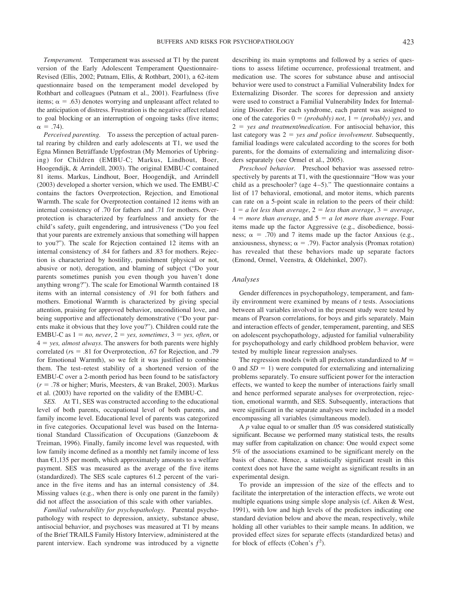*Temperament.* Temperament was assessed at T1 by the parent version of the Early Adolescent Temperament Questionnaire-Revised (Ellis, 2002; Putnam, Ellis, & Rothbart, 2001), a 62-item questionnaire based on the temperament model developed by Rothbart and colleagues (Putnam et al., 2001). Fearfulness (five items;  $\alpha = .63$ ) denotes worrying and unpleasant affect related to the anticipation of distress. Frustration is the negative affect related to goal blocking or an interruption of ongoing tasks (five items;  $\alpha = .74$ ).

*Perceived parenting.* To assess the perception of actual parental rearing by children and early adolescents at T1, we used the Egna Minnen Beträffande Uppfostran (My Memories of Upbringing) for Children (EMBU-C; Markus, Lindhout, Boer, Hoogendijk, & Arrindell, 2003). The original EMBU-C contained 81 items. Markus, Lindhout, Boer, Hoogendijk, and Arrindell (2003) developed a shorter version, which we used. The EMBU-C contains the factors Overprotection, Rejection, and Emotional Warmth. The scale for Overprotection contained 12 items with an internal consistency of .70 for fathers and .71 for mothers. Overprotection is characterized by fearfulness and anxiety for the child's safety, guilt engendering, and intrusiveness ("Do you feel that your parents are extremely anxious that something will happen to you?"). The scale for Rejection contained 12 items with an internal consistency of .84 for fathers and .83 for mothers. Rejection is characterized by hostility, punishment (physical or not, abusive or not), derogation, and blaming of subject ("Do your parents sometimes punish you even though you haven't done anything wrong?"). The scale for Emotional Warmth contained 18 items with an internal consistency of .91 for both fathers and mothers. Emotional Warmth is characterized by giving special attention, praising for approved behavior, unconditional love, and being supportive and affectionately demonstrative ("Do your parents make it obvious that they love you?"). Children could rate the EMBU-C as  $1 = no$ , never,  $2 = yes$ , sometimes,  $3 = yes$ , often, or  $4 = yes$ , *almost always*. The answers for both parents were highly correlated ( $rs = .81$  for Overprotection, .67 for Rejection, and .79 for Emotional Warmth), so we felt it was justified to combine them. The test–retest stability of a shortened version of the EMBU-C over a 2-month period has been found to be satisfactory (*r* .78 or higher; Muris, Meesters, & van Brakel, 2003). Markus et al. (2003) have reported on the validity of the EMBU-C.

*SES.* At T1, SES was constructed according to the educational level of both parents, occupational level of both parents, and family income level. Educational level of parents was categorized in five categories. Occupational level was based on the International Standard Classification of Occupations (Ganzeboom & Treiman, 1996). Finally, family income level was requested, with low family income defined as a monthly net family income of less than  $E1,135$  per month, which approximately amounts to a welfare payment. SES was measured as the average of the five items (standardized). The SES scale captures 61.2 percent of the variance in the five items and has an internal consistency of .84. Missing values (e.g., when there is only one parent in the family) did not affect the association of this scale with other variables.

*Familial vulnerability for psychopathology.* Parental psychopathology with respect to depression, anxiety, substance abuse, antisocial behavior, and psychoses was measured at T1 by means of the Brief TRAILS Family History Interview, administered at the parent interview. Each syndrome was introduced by a vignette describing its main symptoms and followed by a series of questions to assess lifetime occurrence, professional treatment, and medication use. The scores for substance abuse and antisocial behavior were used to construct a Familial Vulnerability Index for Externalizing Disorder. The scores for depression and anxiety were used to construct a Familial Vulnerability Index for Internalizing Disorder. For each syndrome, each parent was assigned to one of the categories  $0 = (probability) not, 1 = (probability) yes, and$  $2 = yes$  *and treatment/medication*. For antisocial behavior, this last category was  $2 = yes$  *and police involvement*. Subsequently, familial loadings were calculated according to the scores for both parents, for the domains of externalizing and internalizing disorders separately (see Ormel et al., 2005).

*Preschool behavior.* Preschool behavior was assessed retrospectively by parents at T1, with the questionnaire "How was your child as a preschooler? (age  $4-5$ )." The questionnaire contains a list of 17 behavioral, emotional, and motor items, which parents can rate on a 5-point scale in relation to the peers of their child:  $1 = a$  *lot less than average*,  $2 =$  *less than average*,  $3 =$  *average*,  $4 = more than average, and 5 = a lot more than average. Four$ items made up the factor Aggressive (e.g., disobedience, bossiness;  $\alpha$  = .70) and 7 items made up the factor Anxious (e.g., anxiousness, shyness;  $\alpha = .79$ ). Factor analysis (Promax rotation) has revealed that these behaviors made up separate factors (Emond, Ormel, Veenstra, & Oldehinkel, 2007).

## *Analyses*

Gender differences in psychopathology, temperament, and family environment were examined by means of *t* tests. Associations between all variables involved in the present study were tested by means of Pearson correlations, for boys and girls separately. Main and interaction effects of gender, temperament, parenting, and SES on adolescent psychopathology, adjusted for familial vulnerability for psychopathology and early childhood problem behavior, were tested by multiple linear regression analyses.

The regression models (with all predictors standardized to  $M =$ 0 and  $SD = 1$ ) were computed for externalizing and internalizing problems separately. To ensure sufficient power for the interaction effects, we wanted to keep the number of interactions fairly small and hence performed separate analyses for overprotection, rejection, emotional warmth, and SES. Subsequently, interactions that were significant in the separate analyses were included in a model encompassing all variables (simultaneous model).

A *p* value equal to or smaller than .05 was considered statistically significant. Because we performed many statistical tests, the results may suffer from capitalization on chance: One would expect some 5% of the associations examined to be significant merely on the basis of chance. Hence, a statistically significant result in this context does not have the same weight as significant results in an experimental design.

To provide an impression of the size of the effects and to facilitate the interpretation of the interaction effects, we wrote out multiple equations using simple slope analysis (cf. Aiken & West, 1991), with low and high levels of the predictors indicating one standard deviation below and above the mean, respectively, while holding all other variables to their sample means. In addition, we provided effect sizes for separate effects (standardized betas) and for block of effects (Cohen's  $f^2$ ).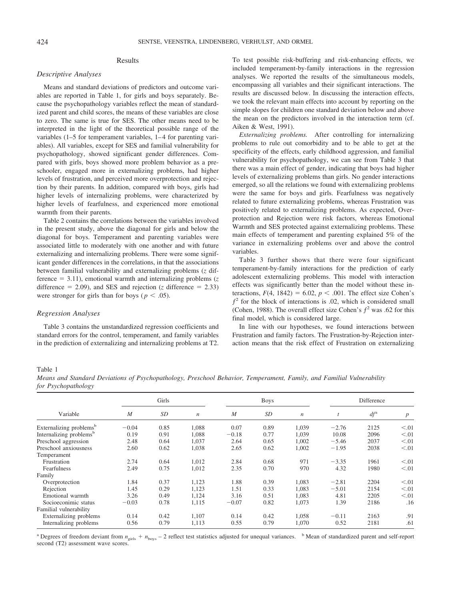# Results

# *Descriptive Analyses*

Means and standard deviations of predictors and outcome variables are reported in Table 1, for girls and boys separately. Because the psychopathology variables reflect the mean of standardized parent and child scores, the means of these variables are close to zero. The same is true for SES. The other means need to be interpreted in the light of the theoretical possible range of the variables (1–5 for temperament variables, 1–4 for parenting variables). All variables, except for SES and familial vulnerability for psychopathology, showed significant gender differences. Compared with girls, boys showed more problem behavior as a preschooler, engaged more in externalizing problems, had higher levels of frustration, and perceived more overprotection and rejection by their parents. In addition, compared with boys, girls had higher levels of internalizing problems, were characterized by higher levels of fearfulness, and experienced more emotional warmth from their parents.

Table 2 contains the correlations between the variables involved in the present study, above the diagonal for girls and below the diagonal for boys. Temperament and parenting variables were associated little to moderately with one another and with future externalizing and internalizing problems. There were some significant gender differences in the correlations, in that the associations between familial vulnerability and externalizing problems (*z* difference  $= 3.11$ ), emotional warmth and internalizing problems ( $z$ difference  $= 2.09$ ), and SES and rejection (*z* difference  $= 2.33$ ) were stronger for girls than for boys ( $p < .05$ ).

### *Regression Analyses*

Table 3 contains the unstandardized regression coefficients and standard errors for the control, temperament, and family variables in the prediction of externalizing and internalizing problems at T2.

To test possible risk-buffering and risk-enhancing effects, we included temperament-by-family interactions in the regression analyses. We reported the results of the simultaneous models, encompassing all variables and their significant interactions. The results are discussed below. In discussing the interaction effects, we took the relevant main effects into account by reporting on the simple slopes for children one standard deviation below and above the mean on the predictors involved in the interaction term (cf. Aiken & West, 1991).

*Externalizing problems.* After controlling for internalizing problems to rule out comorbidity and to be able to get at the specificity of the effects, early childhood aggression, and familial vulnerability for psychopathology, we can see from Table 3 that there was a main effect of gender, indicating that boys had higher levels of externalizing problems than girls. No gender interactions emerged, so all the relations we found with externalizing problems were the same for boys and girls. Fearfulness was negatively related to future externalizing problems, whereas Frustration was positively related to externalizing problems. As expected, Overprotection and Rejection were risk factors, whereas Emotional Warmth and SES protected against externalizing problems. These main effects of temperament and parenting explained 5% of the variance in externalizing problems over and above the control variables.

Table 3 further shows that there were four significant temperament-by-family interactions for the prediction of early adolescent externalizing problems. This model with interaction effects was significantly better than the model without these interactions,  $F(4, 1842) = 6.02$ ,  $p < .001$ . The effect size Cohen's  $f<sup>2</sup>$  for the block of interactions is .02, which is considered small (Cohen, 1988). The overall effect size Cohen's  $f^2$  was .62 for this final model, which is considered large.

In line with our hypotheses, we found interactions between Frustration and family factors. The Frustration-by-Rejection interaction means that the risk effect of Frustration on externalizing

### Table 1

*Means and Standard Deviations of Psychopathology, Preschool Behavior, Temperament, Family, and Familial Vulnerability for Psychopathology*

| Variable                            | Girls          |      |                  | <b>Boys</b> |      |                  | Difference |              |        |
|-------------------------------------|----------------|------|------------------|-------------|------|------------------|------------|--------------|--------|
|                                     | $\overline{M}$ | SD   | $\boldsymbol{n}$ | M           | SD   | $\boldsymbol{n}$ |            | $df^{\rm a}$ | p      |
| Externalizing problems <sup>b</sup> | $-0.04$        | 0.85 | 1.088            | 0.07        | 0.89 | 1.039            | $-2.76$    | 2125         | < 0.01 |
| Internalizing problems <sup>b</sup> | 0.19           | 0.91 | 1.088            | $-0.18$     | 0.77 | 1.039            | 10.08      | 2096         | < 0.01 |
| Preschool aggression                | 2.48           | 0.64 | 1.037            | 2.64        | 0.65 | 1.002            | $-5.46$    | 2037         | < 0.01 |
| Preschool anxiousness               | 2.60           | 0.62 | 1,038            | 2.65        | 0.62 | 1,002            | $-1.95$    | 2038         | < 0.01 |
| Temperament                         |                |      |                  |             |      |                  |            |              |        |
| Frustration                         | 2.74           | 0.64 | 1,012            | 2.84        | 0.68 | 971              | $-3.35$    | 1961         | < 0.01 |
| Fearfulness                         | 2.49           | 0.75 | 1,012            | 2.35        | 0.70 | 970              | 4.32       | 1980         | < 0.01 |
| Family                              |                |      |                  |             |      |                  |            |              |        |
| Overprotection                      | 1.84           | 0.37 | 1,123            | 1.88        | 0.39 | 1.083            | $-2.81$    | 2204         | < 0.01 |
| Rejection                           | 1.45           | 0.29 | 1,123            | 1.51        | 0.33 | 1.083            | $-5.01$    | 2154         | < 0.01 |
| Emotional warmth                    | 3.26           | 0.49 | 1,124            | 3.16        | 0.51 | 1.083            | 4.81       | 2205         | < 0.01 |
| Socioeconimic status                | $-0.03$        | 0.78 | 1.115            | $-0.07$     | 0.82 | 1.073            | 1.39       | 2186         | .16    |
| Familial vulnerability              |                |      |                  |             |      |                  |            |              |        |
| Externalizing problems              | 0.14           | 0.42 | 1,107            | 0.14        | 0.42 | 1,058            | $-0.11$    | 2163         | .91    |
| Internalizing problems              | 0.56           | 0.79 | 1,113            | 0.55        | 0.79 | 1,070            | 0.52       | 2181         | .61    |

<sup>a</sup> Degrees of freedom deviant from  $n_{\text{girls}} + n_{\text{boys}} - 2$  reflect test statistics adjusted for unequal variances. <sup>b</sup> Mean of standardized parent and self-report second (T2) assessment wave scores.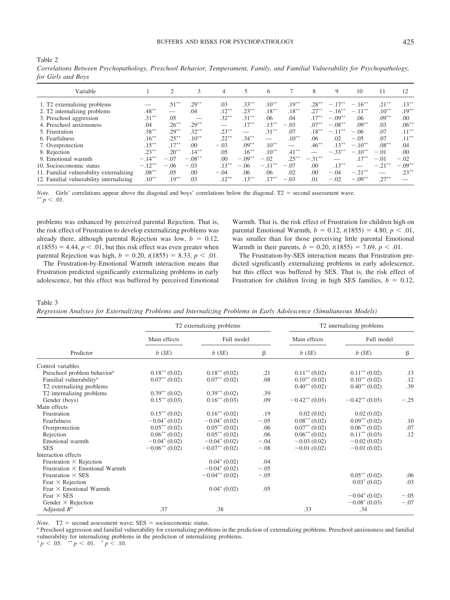| Variable                                 |           |          | 3         | 4        | 5         | 6         |          | 8         | 9         | 10          | 11        | 12        |
|------------------------------------------|-----------|----------|-----------|----------|-----------|-----------|----------|-----------|-----------|-------------|-----------|-----------|
| 1. T <sub>2</sub> externalizing problems |           | $.51***$ | $.29***$  | .03      | $.33***$  | $.10***$  | $.19***$ | $.28***$  | $-.17***$ | $-.16***$   | $.21***$  | $.13***$  |
| 2. T2 internalizing problems             | $.48***$  |          | .04       | $.12***$ | $.23***$  | $.18***$  | $.18***$ | $.27***$  | $-.16***$ | $-.11***$   | $.10***$  | $.19***$  |
| 3. Preschool aggression                  | $.31***$  | .05      | __        | $.32***$ | $.31***$  | .06       | .04      | $.17***$  | $-.09***$ | .06         | $.09***$  | .00.      |
| 4. Preschool anxiousness                 | .04       | $.26***$ | $.29***$  |          | $.17***$  | $.13***$  | $-.03$   | $.07***$  | $-.08***$ | $.09***$    | .03       | $.06***$  |
| 5. Frustration                           | $.38***$  | $.29***$ | $.32***$  | $.23***$ |           | $.31***$  | .07      | $.18***$  | $-.11***$ | $-.06$      | .07       | $.11***$  |
| 6. Fearfulness                           | $.16***$  | $25***$  | $.10***$  | $.22***$ | $.34***$  |           | $.10***$ | .06       | .02       | $-.05$      | .07       | $.11***$  |
| 7. Overprotection                        | $.15***$  | $.17***$ | .00.      | $-.03$   | $.09***$  | $.10***$  |          | $.46***$  | $.13***$  | $-.10^{**}$ | $.08***$  | .04       |
| 8. Rejection                             | $.23***$  | $.20***$ | $.14***$  | .05      | $.16***$  | $.10***$  | $.41***$ |           | $-.33***$ | $-.10^{**}$ | $-.01$    | .00       |
| 9. Emotional warmth                      | $-.14***$ | $-.07$   | $-.08***$ | .00      | $-.09***$ | $-.02$    | $.25***$ | $-.31***$ |           | $.17***$    | $-.01$    | $-.02$    |
| 10. Socioeconomic status                 | $-.12***$ | $-.06$   | $-.03$    | $.13***$ | $-.06$    | $-.11***$ | $-.07$   | .00.      | $.13***$  |             | $-.21***$ | $-.09***$ |
| 11. Familial vulnerability externalizing | $.08***$  | .05      | .00.      | $-.04$   | .06       | .06       | .02      | .00.      | $-.04$    | $-.21***$   |           | $.23***$  |
| 12. Familial vulnerability internalizing | $.10***$  | $.19***$ | .03       | $.12***$ | $.13***$  | $.17***$  | $-.03$   | .01       | $-.02$    | $-.09***$   | $.27***$  |           |
|                                          |           |          |           |          |           |           |          |           |           |             |           |           |

*Correlations Between Psychopathology, Preschool Behavior, Temperament, Family, and Familial Vulnerability for Psychopathology, for Girls and Boys*

*Note.* Girls' correlations appear above the diagonal and boys' correlations below the diagonal. T2 = second assessment wave.  $\binom{p}{p}$  < .01.

problems was enhanced by perceived parental Rejection. That is, the risk effect of Frustration to develop externalizing problems was already there, although parental Rejection was low,  $b = 0.12$ ,  $t(1855) = 4.44$ ,  $p < .01$ , but this risk effect was even greater when parental Rejection was high,  $b = 0.20$ ,  $t(1855) = 8.33$ ,  $p < .01$ .

The Frustration-by-Emotional Warmth interaction means that Frustration predicted significantly externalizing problems in early adolescence, but this effect was buffered by perceived Emotional Warmth. That is, the risk effect of Frustration for children high on parental Emotional Warmth,  $b = 0.12$ ,  $t(1855) = 4.80$ ,  $p < .01$ , was smaller than for those perceiving little parental Emotional Warmth in their parents,  $b = 0.20$ ,  $t(1855) = 7.69$ ,  $p < .01$ .

The Frustration-by-SES interaction means that Frustration predicted significantly externalizing problems in early adolescence, but this effect was buffered by SES. That is, the risk effect of Frustration for children living in high SES families,  $b = 0.12$ ,

### Table 3

Table 2

*Regression Analyses for Externalizing Problems and Internalizing Problems in Early Adolescence (Simultaneous Models)*

|                                         |                    | T2 externalizing problems |        | T2 internalizing problems |                         |        |  |
|-----------------------------------------|--------------------|---------------------------|--------|---------------------------|-------------------------|--------|--|
|                                         | Main effects       | Full model                |        | Main effects              | Full model              |        |  |
| Predictor                               | $b$ (SE)           | b(SE)                     | β      | $b$ (SE)                  | b(SE)                   | β      |  |
| Control variables                       |                    |                           |        |                           |                         |        |  |
| Preschool problem behavior <sup>a</sup> | $0.18***(0.02)$    | $0.18***(0.02)$           | .21    | $0.11***(0.02)$           | $0.11***(0.02)$         | .13    |  |
| Familial vulnerability <sup>a</sup>     | $0.07^{**}$ (0.02) | $0.07^{**}$ (0.02)        | .08    | $0.10^{**}$ (0.02)        | $0.10^{**}$ (0.02)      | .12    |  |
| T2 externalizing problems               |                    |                           |        | $0.40^{**}$ (0.02)        | $0.40^{**}$ (0.02)      | .39    |  |
| T2 internalizing problems               | $0.39**$ (0.02)    | $0.39**$ (0.02)           | .39    |                           |                         |        |  |
| Gender (boys)                           | $0.15***(0.03)$    | $0.16^{**} (0.03)$        | .09    | $-0.42**$ (0.03)          | $-0.42**$ (0.03)        | $-.25$ |  |
| Main effects                            |                    |                           |        |                           |                         |        |  |
| Frustration                             | $0.15***(0.02)$    | $0.16**$ (0.02)           | .19    | 0.02(0.02)                | 0.02(0.02)              |        |  |
| Fearfulness                             | $-0.04*(0.02)$     | $-0.04^{\ast}$ (0.02)     | $-.05$ | $0.08^{**}$ (0.02)        | $0.09^{**}$ (0.02)      | .10    |  |
| Overprotection                          | $0.05***(0.02)$    | $0.05***(0.02)$           | .06    | $0.07**$ (0.02)           | $0.06^{**} (0.02)$      | .07    |  |
| Rejection                               | $0.06**$ (0.02)    | $0.05***(0.02)$           | .06    | $0.06^{**} (0.02)$        | $0.11***(0.03)$         | .12    |  |
| Emotional warmth                        | $-0.04*(0.02)$     | $-0.04*(0.02)$            | $-.04$ | $-0.03(0.02)$             | $-0.02(0.02)$           |        |  |
| <b>SES</b>                              | $-0.06**$ (0.02)   | $-0.07**$ (0.02)          | $-.08$ | $-0.01(0.02)$             | $-0.01(0.02)$           |        |  |
| Interaction effects                     |                    |                           |        |                           |                         |        |  |
| Frustration $\times$ Rejection          |                    | $0.04^* (0.02)$           | .04    |                           |                         |        |  |
| Frustration $\times$ Emotional Warmth   |                    | $-0.04*(0.02)$            | $-.05$ |                           |                         |        |  |
| Frustration $\times$ SES                |                    | $-0.04**$ (0.02)          | $-.05$ |                           | $0.05***(0.02)$         | .06    |  |
| Fear $\times$ Rejection                 |                    |                           |        |                           | $0.03^{\dagger}$ (0.02) | .03    |  |
| Fear $\times$ Emotional Warmth          |                    | $0.04^* (0.02)$           | .05    |                           |                         |        |  |
| Fear $\times$ SES                       |                    |                           |        |                           | $-0.04*(0.02)$          | $-.05$ |  |
| Gender $\times$ Rejection               |                    |                           |        |                           | $-0.08*(0.03)$          | $-.07$ |  |
| Adjusted $R^2$                          | .37                | .38                       |        | .33                       | .34                     |        |  |

*Note.* T2 = second assessment wave; SES = socioeconomic status.<br><sup>a</sup> Preschool aggression and familial vulnerability for externalizing problems in the prediction of externalizing problems. Preschool anxiousness and famili vulnerability for internalizing problems in the prediction of internalizing problems.

 $p < .05.$  \*\*  $p < .01.$   $\bar{p} < .10.$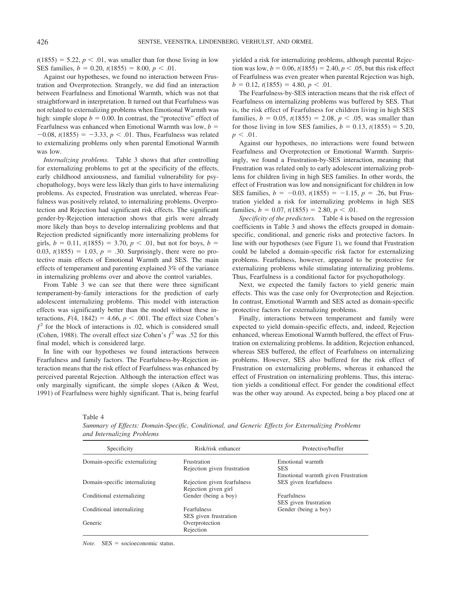$t(1855) = 5.22$ ,  $p < .01$ , was smaller than for those living in low SES families,  $b = 0.20$ ,  $t(1855) = 8.00$ ,  $p < .01$ .

Against our hypotheses, we found no interaction between Frustration and Overprotection. Strangely, we did find an interaction between Fearfulness and Emotional Warmth, which was not that straightforward in interpretation. It turned out that Fearfulness was not related to externalizing problems when Emotional Warmth was high: simple slope  $b = 0.00$ . In contrast, the "protective" effect of Fearfulness was enhanced when Emotional Warmth was low,  $b =$  $-0.08$ ,  $t(1855) = -3.33$ ,  $p < .01$ . Thus, Fearfulness was related to externalizing problems only when parental Emotional Warmth was low.

*Internalizing problems.* Table 3 shows that after controlling for externalizing problems to get at the specificity of the effects, early childhood anxiousness, and familial vulnerability for psychopathology, boys were less likely than girls to have internalizing problems. As expected, Frustration was unrelated, whereas Fearfulness was positively related, to internalizing problems. Overprotection and Rejection had significant risk effects. The significant gender-by-Rejection interaction shows that girls were already more likely than boys to develop internalizing problems and that Rejection predicted significantly more internalizing problems for girls,  $b = 0.11$ ,  $t(1855) = 3.70$ ,  $p < .01$ , but not for boys,  $b =$ 0.03,  $t(1855) = 1.03$ ,  $p = .30$ . Surprisingly, there were no protective main effects of Emotional Warmth and SES. The main effects of temperament and parenting explained 3% of the variance in internalizing problems over and above the control variables.

From Table 3 we can see that there were three significant temperament-by-family interactions for the prediction of early adolescent internalizing problems. This model with interaction effects was significantly better than the model without these interactions,  $F(4, 1842) = 4.66$ ,  $p < .001$ . The effect size Cohen's  $f<sup>2</sup>$  for the block of interactions is .02, which is considered small (Cohen, 1988). The overall effect size Cohen's  $f^2$  was .52 for this final model, which is considered large.

In line with our hypotheses we found interactions between Fearfulness and family factors. The Fearfulness-by-Rejection interaction means that the risk effect of Fearfulness was enhanced by perceived parental Rejection. Although the interaction effect was only marginally significant, the simple slopes (Aiken & West, 1991) of Fearfulness were highly significant. That is, being fearful yielded a risk for internalizing problems, although parental Rejection was low,  $b = 0.06$ ,  $t(1855) = 2.40$ ,  $p < .05$ , but this risk effect of Fearfulness was even greater when parental Rejection was high,  $b = 0.12$ ,  $t(1855) = 4.80$ ,  $p < .01$ .

The Fearfulness-by-SES interaction means that the risk effect of Fearfulness on internalizing problems was buffered by SES. That is, the risk effect of Fearfulness for children living in high SES families,  $b = 0.05$ ,  $t(1855) = 2.08$ ,  $p < .05$ , was smaller than for those living in low SES families,  $b = 0.13$ ,  $t(1855) = 5.20$ ,  $p < .01$ .

Against our hypotheses, no interactions were found between Fearfulness and Overprotection or Emotional Warmth. Surprisingly, we found a Frustration-by-SES interaction, meaning that Frustration was related only to early adolescent internalizing problems for children living in high SES families. In other words, the effect of Frustration was low and nonsignificant for children in low SES families,  $b = -0.03$ ,  $t(1855) = -1.15$ ,  $p = .26$ , but Frustration yielded a risk for internalizing problems in high SES families,  $b = 0.07$ ,  $t(1855) = 2.80$ ,  $p < .01$ .

*Specificity of the predictors.* Table 4 is based on the regression coefficients in Table 3 and shows the effects grouped in domainspecific, conditional, and generic risks and protective factors. In line with our hypotheses (see Figure 1), we found that Frustration could be labeled a domain-specific risk factor for externalizing problems. Fearfulness, however, appeared to be protective for externalizing problems while stimulating internalizing problems. Thus, Fearfulness is a conditional factor for psychopathology.

Next, we expected the family factors to yield generic main effects. This was the case only for Overprotection and Rejection. In contrast, Emotional Warmth and SES acted as domain-specific protective factors for externalizing problems.

Finally, interactions between temperament and family were expected to yield domain-specific effects, and, indeed, Rejection enhanced, whereas Emotional Warmth buffered, the effect of Frustration on externalizing problems. In addition, Rejection enhanced, whereas SES buffered, the effect of Fearfulness on internalizing problems. However, SES also buffered for the risk effect of Frustration on externalizing problems, whereas it enhanced the effect of Frustration on internalizing problems. Thus, this interaction yields a conditional effect. For gender the conditional effect was the other way around. As expected, being a boy placed one at

Table 4

Specificity Risk/risk enhancer Protective/buffer Domain-specific externalizing Frustration Frustration Emotional warmth Rejection given frustration SES Emotional warmth given Frustration Domain-specific internalizing Rejection given fearfulness Rejection given girl Conditional externalizing Gender (being a boy) Fearfulness SES given frustration Conditional internalizing Fearfulness Gender (being a boy) SES given frustration Generic Overprotection Rejection

*Summary of Effects: Domain-Specific, Conditional, and Generic Effects for Externalizing Problems and Internalizing Problems*

*Note.* SES = socioeconomic status.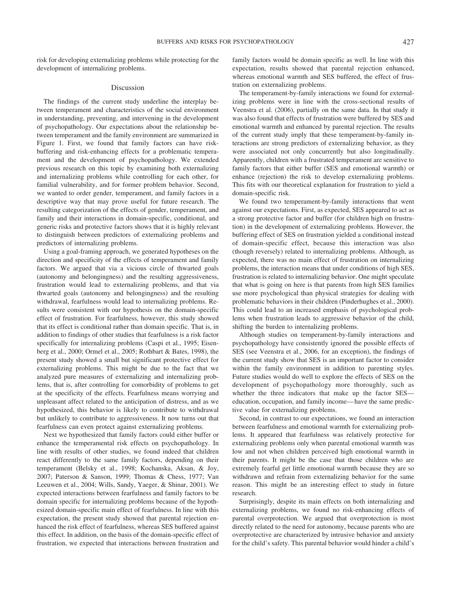risk for developing externalizing problems while protecting for the development of internalizing problems.

# Discussion

The findings of the current study underline the interplay between temperament and characteristics of the social environment in understanding, preventing, and intervening in the development of psychopathology. Our expectations about the relationship between temperament and the family environment are summarized in Figure 1. First, we found that family factors can have riskbuffering and risk-enhancing effects for a problematic temperament and the development of psychopathology. We extended previous research on this topic by examining both externalizing and internalizing problems while controlling for each other, for familial vulnerability, and for former problem behavior. Second, we wanted to order gender, temperament, and family factors in a descriptive way that may prove useful for future research. The resulting categorization of the effects of gender, temperament, and family and their interactions in domain-specific, conditional, and generic risks and protective factors shows that it is highly relevant to distinguish between predictors of externalizing problems and predictors of internalizing problems.

Using a goal-framing approach, we generated hypotheses on the direction and specificity of the effects of temperament and family factors. We argued that via a vicious circle of thwarted goals (autonomy and belongingness) and the resulting aggressiveness, frustration would lead to externalizing problems, and that via thwarted goals (autonomy and belongingness) and the resulting withdrawal, fearfulness would lead to internalizing problems. Results were consistent with our hypothesis on the domain-specific effect of frustration. For fearfulness, however, this study showed that its effect is conditional rather than domain specific. That is, in addition to findings of other studies that fearfulness is a risk factor specifically for internalizing problems (Caspi et al., 1995; Eisenberg et al., 2000; Ormel et al., 2005; Rothbart & Bates, 1998), the present study showed a small but significant protective effect for externalizing problems. This might be due to the fact that we analyzed pure measures of externalizing and internalizing problems, that is, after controlling for comorbidity of problems to get at the specificity of the effects. Fearfulness means worrying and unpleasant affect related to the anticipation of distress, and as we hypothesized, this behavior is likely to contribute to withdrawal but unlikely to contribute to aggressiveness. It now turns out that fearfulness can even protect against externalizing problems.

Next we hypothesized that family factors could either buffer or enhance the temperamental risk effects on psychopathology. In line with results of other studies, we found indeed that children react differently to the same family factors, depending on their temperament (Belsky et al., 1998; Kochanska, Aksan, & Joy, 2007; Paterson & Sanson, 1999; Thomas & Chess, 1977; Van Leeuwen et al., 2004; Wills, Sandy, Yaeger, & Shinar, 2001). We expected interactions between fearfulness and family factors to be domain specific for internalizing problems because of the hypothesized domain-specific main effect of fearfulness. In line with this expectation, the present study showed that parental rejection enhanced the risk effect of fearfulness, whereas SES buffered against this effect. In addition, on the basis of the domain-specific effect of frustration, we expected that interactions between frustration and

family factors would be domain specific as well. In line with this expectation, results showed that parental rejection enhanced, whereas emotional warmth and SES buffered, the effect of frustration on externalizing problems.

The temperament-by-family interactions we found for externalizing problems were in line with the cross-sectional results of Veenstra et al. (2006), partially on the same data. In that study it was also found that effects of frustration were buffered by SES and emotional warmth and enhanced by parental rejection. The results of the current study imply that these temperament-by-family interactions are strong predictors of externalizing behavior, as they were associated not only concurrently but also longitudinally. Apparently, children with a frustrated temperament are sensitive to family factors that either buffer (SES and emotional warmth) or enhance (rejection) the risk to develop externalizing problems. This fits with our theoretical explanation for frustration to yield a domain-specific risk.

We found two temperament-by-family interactions that went against our expectations. First, as expected, SES appeared to act as a strong protective factor and buffer (for children high on frustration) in the development of externalizing problems. However, the buffering effect of SES on frustration yielded a conditional instead of domain-specific effect, because this interaction was also (though reversely) related to internalizing problems. Although, as expected, there was no main effect of frustration on internalizing problems, the interaction means that under conditions of high SES, frustration is related to internalizing behavior. One might speculate that what is going on here is that parents from high SES families use more psychological than physical strategies for dealing with problematic behaviors in their children (Pinderhughes et al., 2000). This could lead to an increased emphasis of psychological problems when frustration leads to aggressive behavior of the child, shifting the burden to internalizing problems.

Although studies on temperament-by-family interactions and psychopathology have consistently ignored the possible effects of SES (see Veenstra et al., 2006, for an exception), the findings of the current study show that SES is an important factor to consider within the family environment in addition to parenting styles. Future studies would do well to explore the effects of SES on the development of psychopathology more thoroughly, such as whether the three indicators that make up the factor SES education, occupation, and family income— have the same predictive value for externalizing problems.

Second, in contrast to our expectations, we found an interaction between fearfulness and emotional warmth for externalizing problems. It appeared that fearfulness was relatively protective for externalizing problems only when parental emotional warmth was low and not when children perceived high emotional warmth in their parents. It might be the case that those children who are extremely fearful get little emotional warmth because they are so withdrawn and refrain from externalizing behavior for the same reason. This might be an interesting effect to study in future research.

Surprisingly, despite its main effects on both internalizing and externalizing problems, we found no risk-enhancing effects of parental overprotection. We argued that overprotection is most directly related to the need for autonomy, because parents who are overprotective are characterized by intrusive behavior and anxiety for the child's safety. This parental behavior would hinder a child's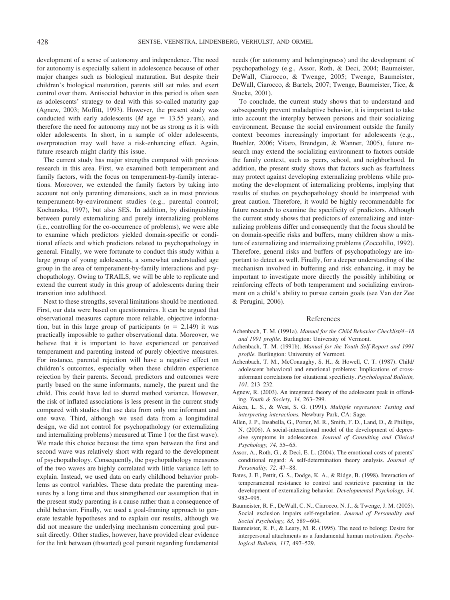development of a sense of autonomy and independence. The need for autonomy is especially salient in adolescence because of other major changes such as biological maturation. But despite their children's biological maturation, parents still set rules and exert control over them. Antisocial behavior in this period is often seen as adolescents' strategy to deal with this so-called maturity gap (Agnew, 2003; Moffitt, 1993). However, the present study was conducted with early adolescents  $(M \text{ age} = 13.55 \text{ years})$ , and therefore the need for autonomy may not be as strong as it is with older adolescents. In short, in a sample of older adolescents, overprotection may well have a risk-enhancing effect. Again, future research might clarify this issue.

The current study has major strengths compared with previous research in this area. First, we examined both temperament and family factors, with the focus on temperament-by-family interactions. Moreover, we extended the family factors by taking into account not only parenting dimensions, such as in most previous temperament-by-environment studies (e.g., parental control; Kochanska, 1997), but also SES. In addition, by distinguishing between purely externalizing and purely internalizing problems (i.e., controlling for the co-occurrence of problems), we were able to examine which predictors yielded domain-specific or conditional effects and which predictors related to psychopathology in general. Finally, we were fortunate to conduct this study within a large group of young adolescents, a somewhat understudied age group in the area of temperament-by-family interactions and psychopathology. Owing to TRAILS, we will be able to replicate and extend the current study in this group of adolescents during their transition into adulthood.

Next to these strengths, several limitations should be mentioned. First, our data were based on questionnaires. It can be argued that observational measures capture more reliable, objective information, but in this large group of participants  $(n = 2,149)$  it was practically impossible to gather observational data. Moreover, we believe that it is important to have experienced or perceived temperament and parenting instead of purely objective measures. For instance, parental rejection will have a negative effect on children's outcomes, especially when these children experience rejection by their parents. Second, predictors and outcomes were partly based on the same informants, namely, the parent and the child. This could have led to shared method variance. However, the risk of inflated associations is less present in the current study compared with studies that use data from only one informant and one wave. Third, although we used data from a longitudinal design, we did not control for psychopathology (or externalizing and internalizing problems) measured at Time 1 (or the first wave). We made this choice because the time span between the first and second wave was relatively short with regard to the development of psychopathology. Consequently, the psychopathology measures of the two waves are highly correlated with little variance left to explain. Instead, we used data on early childhood behavior problems as control variables. These data predate the parenting measures by a long time and thus strengthened our assumption that in the present study parenting is a cause rather than a consequence of child behavior. Finally, we used a goal-framing approach to generate testable hypotheses and to explain our results, although we did not measure the underlying mechanism concerning goal pursuit directly. Other studies, however, have provided clear evidence for the link between (thwarted) goal pursuit regarding fundamental

needs (for autonomy and belongingness) and the development of psychopathology (e.g., Assor, Roth, & Deci, 2004; Baumeister, DeWall, Ciarocco, & Twenge, 2005; Twenge, Baumeister, DeWall, Ciarocco, & Bartels, 2007; Twenge, Baumeister, Tice, & Stucke, 2001).

To conclude, the current study shows that to understand and subsequently prevent maladaptive behavior, it is important to take into account the interplay between persons and their socializing environment. Because the social environment outside the family context becomes increasingly important for adolescents (e.g., Buehler, 2006; Vitaro, Brendgen, & Wanner, 2005), future research may extend the socializing environment to factors outside the family context, such as peers, school, and neighborhood. In addition, the present study shows that factors such as fearfulness may protect against developing externalizing problems while promoting the development of internalizing problems, implying that results of studies on psychopathology should be interpreted with great caution. Therefore, it would be highly recommendable for future research to examine the specificity of predictors. Although the current study shows that predictors of externalizing and internalizing problems differ and consequently that the focus should be on domain-specific risks and buffers, many children show a mixture of externalizing and internalizing problems (Zoccolillo, 1992). Therefore, general risks and buffers of psychopathology are important to detect as well. Finally, for a deeper understanding of the mechanism involved in buffering and risk enhancing, it may be important to investigate more directly the possibly inhibiting or reinforcing effects of both temperament and socializing environment on a child's ability to pursue certain goals (see Van der Zee & Perugini, 2006).

## References

- Achenbach, T. M. (1991a). *Manual for the Child Behavior Checklist/4 –18 and 1991 profile*. Burlington: University of Vermont.
- Achenbach, T. M. (1991b). *Manual for the Youth Self-Report and 1991 profile.* Burlington: University of Vermont.
- Achenbach, T. M., McConaughy, S. H., & Howell, C. T. (1987). Child/ adolescent behavioral and emotional problems: Implications of crossinformant correlations for situational specificity. *Psychological Bulletin, 101,* 213–232.
- Agnew, R. (2003). An integrated theory of the adolescent peak in offending. *Youth & Society, 34,* 263–299.
- Aiken, L. S., & West, S. G. (1991). *Multiple regression: Testing and interpreting interactions.* Newbury Park, CA: Sage.
- Allen, J. P., Insabella, G., Porter, M. R., Smith, F. D., Land, D., & Phillips, N. (2006). A social-interactional model of the development of depressive symptoms in adolescence. *Journal of Consulting and Clinical Psychology, 74,* 55– 65.
- Assor, A., Roth, G., & Deci, E. L. (2004). The emotional costs of parents' conditional regard: A self-determination theory analysis. *Journal of Personality, 72,* 47– 88.
- Bates, J. E., Pettit, G. S., Dodge, K. A., & Ridge, B. (1998). Interaction of temperamental resistance to control and restrictive parenting in the development of externalizing behavior. *Developmental Psychology, 34,* 982–995.
- Baumeister, R. F., DeWall, C. N., Ciarocco, N. J., & Twenge, J. M. (2005). Social exclusion impairs self-regulation. *Journal of Personality and Social Psychology, 83,* 589 – 604.
- Baumeister, R. F., & Leary, M. R. (1995). The need to belong: Desire for interpersonal attachments as a fundamental human motivation. *Psychological Bulletin, 117,* 497–529.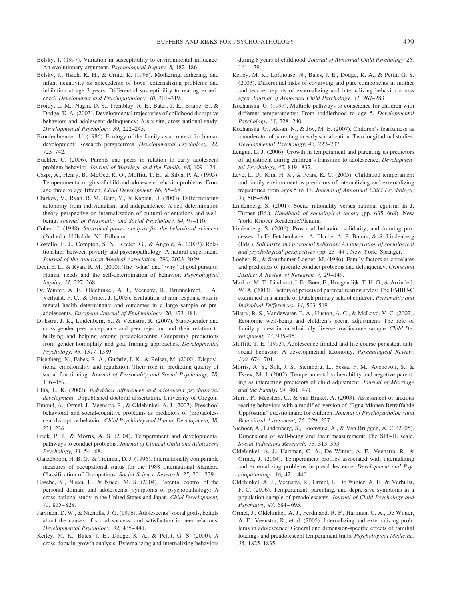- Belsky, J. (1997). Variation in susceptibility to environmental influence: An evolutionary argument. *Psychological Inquiry, 8,* 182–186.
- Belsky, J., Hsieh, K. H., & Crnic, K. (1998). Mothering, fathering, and infant negativity as antecedents of boys' externalizing problems and inhibition at age 3 years: Differential susceptibility to rearing experience? *Development and Psychopathology, 10,* 301–319.
- Broidy, L. M., Nagin, D. S., Tremblay, R. E., Bates, J. E., Brame, B., & Dodge, K. A. (2003). Developmental trajectories of childhood disruptive behaviors and adolescent delinquency: A six-site, cross-national study. *Developmental Psychology, 39,* 222–245.
- Bronfenbrenner, U. (1986). Ecology of the family as a context for human development: Research perspectives. *Developmental Psychology, 22,* 723–742.
- Buehler, C. (2006). Parents and peers in relation to early adolescent problem behavior. *Journal of Marriage and the Family, 68,* 109 –124.
- Caspi, A., Henry, B., McGee, R. O., Moffitt, T. E., & Silva, P. A. (1995). Temperamental origins of child and adolescent behavior problems: From age three to age fifteen. *Child Development*, 66, 55-68.
- Chirkov, V., Ryan, R. M., Kim, Y., & Kaplan, U. (2003). Differentiating autonomy from individualism and independence: A self-determination theory perspective on internalization of cultural orientations and wellbeing. *Journal of Personality and Social Psychology, 84,* 97–110.
- Cohen, J. (1988). *Statistical power analysis for the behavioral sciences* (2nd ed.). Hillsdale, NJ: Erlbaum.
- Costello, E. J., Compton, S. N., Keeler, G., & Angold, A. (2003). Relationships between poverty and psychopathology: A natural experiment. *Journal of the American Medical Association, 290,* 2023–2029.
- Deci, E. L., & Ryan, R. M. (2000). The "what" and "why" of goal pursuits: Human needs and the self-determination of behavior. *Psychological Inquiry, 11,* 227–268.
- De Winter, A. F., Oldehinkel, A. J., Veenstra, R., Brunnekreef, J. A., Verhulst, F. C., & Ormel, J. (2005). Evaluation of non-response bias in mental health determinants and outcomes in a large sample of preadolescents. *European Journal of Epidemiology, 20,* 173–181.
- Dijkstra, J. K., Lindenberg, S., & Veenstra, R. (2007). Same-gender and cross-gender peer acceptance and peer rejection and their relation to bullying and helping among preadolescents: Comparing predictions from gender-homophily and goal-framing approaches. *Developmental Psychology, 43,* 1377–1389.
- Eisenberg, N., Fabes, R. A., Guthrie, I. K., & Reiser, M. (2000). Dispositional emotionality and regulation: Their role in predicting quality of social functioning. *Journal of Personality and Social Psychology, 78,* 136 –157.
- Ellis, L. K. (2002). *Individual differences and adolescent psychosocial development.* Unpublished doctoral dissertation, University of Oregon.
- Emond, A., Ormel, J., Veenstra, R., & Oldehinkel, A. J. (2007). Preschool behavioral and social-cognitive problems as predictors of (pre)adolescent disruptive behavior. *Child Psychiatry and Human Development, 38,* 221–236.
- Frick, P. J., & Morris, A. S. (2004). Temperament and developmental pathways to conduct problems. *Journal of Clinical Child and Adolescent Psychology, 33,* 54 – 68.
- Ganzeboom, H. B. G., & Treiman, D. J. (1996). Internationally comparable measures of occupational status for the 1988 International Standard Classification of Occupations. *Social Science Research, 25,* 201–239.
- Hasebe, Y., Nucci. L., & Nucci, M. S. (2004). Parental control of the personal domain and adolescents' symptoms of psychopathology: A cross-national study in the United States and Japan. *Child Development, 75,* 815– 828.
- Jarvinen, D. W., & Nicholls, J. G. (1996). Adolescents' social goals, beliefs about the causes of social success, and satisfaction in peer relations. *Developmental Psychology, 32,* 435– 441.
- Keiley, M. K., Bates, J. E., Dodge, K. A., & Pettit, G. S. (2000). A cross-domain growth analysis: Externalizing and internalizing behaviors

during 8 years of childhood. *Journal of Abnormal Child Psychology, 28,* 161–179.

- Keiley, M. K., Lofthouse, N., Bates, J. E., Dodge, K. A., & Pettit, G. S. (2003). Differential risks of covarying and pure components in mother and teacher reports of externalizing and internalizing behavior across ages. *Journal of Abnormal Child Psychology, 31,* 267–283.
- Kochanska, G. (1997). Multiple pathways to conscience for children with different temperaments: From toddlerhood to age 5. *Developmental Psychology, 33,* 228 –240.
- Kochanska, G., Aksan, N., & Joy, M. E. (2007). Children's fearfulness as a moderator of parenting in early socialization: Two longitudinal studies. *Developmental Psychology, 43,* 222–237.
- Lengua, L. J. (2006). Growth in temperament and parenting as predictors of adjustment during children's transition to adolescence. *Developmental Psychology, 42,* 819 – 832.
- Leve, L. D., Kim, H. K., & Pears, K. C. (2005). Childhood temperament and family environment as predictors of internalizing and externalizing trajectories from ages 5 to 17. *Journal of Abnormal Child Psychology, 33,* 505–520.
- Lindenberg, S. (2001). Social rationality versus rational egoism. In J. Turner (Ed.), *Handbook of sociological theory* (pp. 635-668). New York: Kluwer Academic/Plenum.
- Lindenberg, S. (2006). Prosocial behavior, solidarity, and framing processes. In D. Fetchenhauer, A. Flache, A. P. Buunk, & S. Lindenberg (Eds.), *Solidarity and prosocial behavior: An integration of sociological* and psychological perspectives (pp. 23–44). New York: Springer.
- Loeber, R., & Stouthamer-Loeber, M. (1986). Family factors as correlates and predictors of juvenile conduct problems and delinquency. *Crime and Justice: A Review of Research, 7,* 29 –149.
- Markus, M. T., Lindhout, I. E., Boer, F., Hoogendijk, T. H. G., & Arrindell, W. A. (2003). Factors of perceived parental rearing styles: The EMBU-C examined in a sample of Dutch primary school children. *Personality and Individual Differences, 34,* 503–519.
- Mistry, R. S., Vandewater, E. A., Huston, A. C., & McLoyd, V. C. (2002). Economic well-being and children's social adjustment: The role of family process in an ethnically diverse low-income sample. *Child Development, 73,* 935–951.
- Moffitt, T. E. (1993). Adolescence-limited and life-course-persistent antisocial behavior: A developmental taxonomy. *Psychological Review, 100,* 674 –701.
- Morris, A. S., Silk, J. S., Steinberg, L., Sessa, F. M., Avenevoli, S., & Essex, M. J. (2002). Temperamental vulnerability and negative parenting as interacting predictors of child adjustment. *Journal of Marriage* and the Family, 64, 461-471.
- Muris, P., Meesters, C., & van Brakel, A. (2003). Assessment of anxious rearing behaviors with a modified version of "Egna Minnen Beträffande Uppfostran" questionnaire for children. *Journal of Psychopathology and Behavioral Assessment, 25,* 229 –237.
- Nieboer, A., Lindenberg, S., Boomsma, A., & Van Bruggen, A. C. (2005). Dimensions of well-being and their measurement: The SPF-IL scale. *Social Indicators Research, 73,* 313–353.
- Oldehinkel, A. J., Hartman, C. A., De Winter, A. F., Veenstra, R., & Ormel, J. (2004). Temperament profiles associated with internalizing and externalizing problems in preadolescence. *Development and Psychopathology, 16,* 421– 440.
- Oldehinkel, A. J., Veenstra, R., Ormel, J., De Winter, A. F., & Verhulst, F. C. (2006). Temperament, parenting, and depressive symptoms in a population sample of preadolescents. *Journal of Child Psychology and Psychiatry, 47,* 684 – 695.
- Ormel, J., Oldehinkel, A. J., Ferdinand, R. F., Hartman, C. A., De Winter, A. F., Veenstra, R., et al. (2005). Internalizing and externalizing problems in adolescence: General and dimension-specific effects of familial loadings and preadolescent temperament traits. *Psychological Medicine, 35,* 1825–1835.